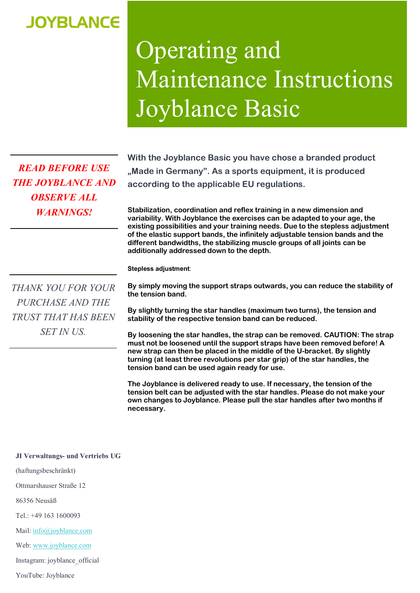## **JOYBLANCE**

## Operating and Maintenance Instructions Joyblance Basic

*READ BEFORE USE THE JOYBLANCE AND OBSERVE ALL WARNINGS!*

**With the Joyblance Basic you have chose a branded product "Made in Germany". As a sports equipment, it is produced according to the applicable EU regulations.** 

**Stabilization, coordination and reflex training in a new dimension and variability. With Joyblance the exercises can be adapted to your age, the existing possibilities and your training needs. Due to the stepless adjustment of the elastic support bands, the infinitely adjustable tension bands and the different bandwidths, the stabilizing muscle groups of all joints can be additionally addressed down to the depth.**

**Stepless adjustment**:

*THANK YOU FOR YOUR PURCHASE AND THE TRUST THAT HAS BEEN SET IN US.*

**By simply moving the support straps outwards, you can reduce the stability of the tension band.**

**By slightly turning the star handles (maximum two turns), the tension and stability of the respective tension band can be reduced.**

**By loosening the star handles, the strap can be removed. CAUTION: The strap must not be loosened until the support straps have been removed before! A new strap can then be placed in the middle of the U-bracket. By slightly turning (at least three revolutions per star grip) of the star handles, the tension band can be used again ready for use.**

**The Joyblance is delivered ready to use. If necessary, the tension of the tension belt can be adjusted with the star handles. Please do not make your own changes to Joyblance. Please pull the star handles after two months if necessary.**

## **JI Verwaltungs- und Vertriebs UG**

(haftungsbeschränkt)

Ottmarshauser Straße 12

86356 Neusäß

Tel.: +49 163 1600093

Mail: info@joyblance.com

Web: www.joyblance.com

Instagram: joyblance\_official

YouTube: Joyblance